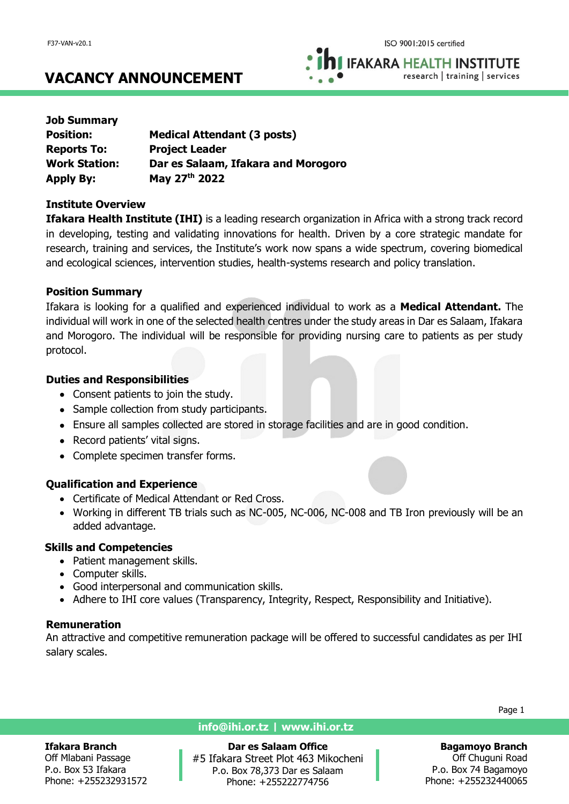**IFAKARA HEALTH INSTITUTE** research | training | services

# **VACANCY ANNOUNCEMENT**

| <b>Job Summary</b>   |                                     |
|----------------------|-------------------------------------|
| <b>Position:</b>     | <b>Medical Attendant (3 posts)</b>  |
| <b>Reports To:</b>   | <b>Project Leader</b>               |
| <b>Work Station:</b> | Dar es Salaam, Ifakara and Morogoro |
| <b>Apply By:</b>     | May 27th 2022                       |

#### **Institute Overview**

**Ifakara Health Institute (IHI)** is a leading research organization in Africa with a strong track record in developing, testing and validating innovations for health. Driven by a core strategic mandate for research, training and services, the Institute's work now spans a wide spectrum, covering biomedical and ecological sciences, intervention studies, health-systems research and policy translation.

## **Position Summary**

Ifakara is looking for a qualified and experienced individual to work as a **Medical Attendant.** The individual will work in one of the selected health centres under the study areas in Dar es Salaam, Ifakara and Morogoro. The individual will be responsible for providing nursing care to patients as per study protocol.

# **Duties and Responsibilities**

- Consent patients to join the study.
- Sample collection from study participants.
- Ensure all samples collected are stored in storage facilities and are in good condition.
- Record patients' vital signs.
- Complete specimen transfer forms.

# **Qualification and Experience**

- Certificate of Medical Attendant or Red Cross.
- Working in different TB trials such as NC-005, NC-006, NC-008 and TB Iron previously will be an added advantage.

## **Skills and Competencies**

- Patient management skills.
- Computer skills.
- Good interpersonal and communication skills.
- Adhere to IHI core values (Transparency, Integrity, Respect, Responsibility and Initiative).

## **Remuneration**

An attractive and competitive remuneration package will be offered to successful candidates as per IHI salary scales.

#### **Ifakara Branch**

Off Mlabani Passage P.o. Box 53 Ifakara Phone: +255232931572

## **info@ihi.or.tz | www.ihi.or.tz**

**Dar es Salaam Office** #5 Ifakara Street Plot 463 Mikocheni P.o. Box 78,373 Dar es Salaam Phone: +255222774756

Page 1

#### **Bagamoyo Branch** Off Chuguni Road P.o. Box 74 Bagamoyo Phone: +255232440065